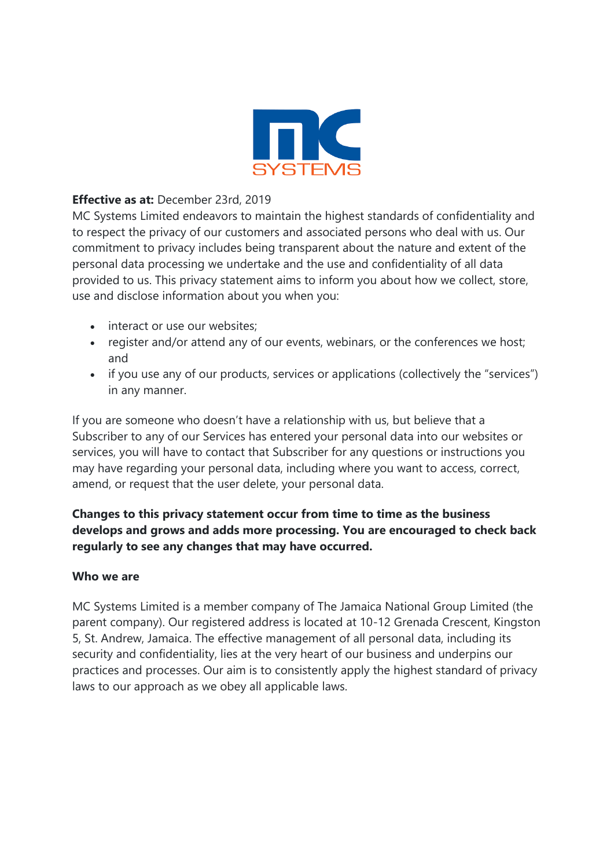

## **Effective as at:** December 23rd, 2019

MC Systems Limited endeavors to maintain the highest standards of confidentiality and to respect the privacy of our customers and associated persons who deal with us. Our commitment to privacy includes being transparent about the nature and extent of the personal data processing we undertake and the use and confidentiality of all data provided to us. This privacy statement aims to inform you about how we collect, store, use and disclose information about you when you:

- interact or use our websites:
- register and/or attend any of our events, webinars, or the conferences we host; and
- if you use any of our products, services or applications (collectively the "services") in any manner.

If you are someone who doesn't have a relationship with us, but believe that a Subscriber to any of our Services has entered your personal data into our websites or services, you will have to contact that Subscriber for any questions or instructions you may have regarding your personal data, including where you want to access, correct, amend, or request that the user delete, your personal data.

# **Changes to this privacy statement occur from time to time as the business develops and grows and adds more processing. You are encouraged to check back regularly to see any changes that may have occurred.**

## **Who we are**

MC Systems Limited is a member company of The Jamaica National Group Limited (the parent company). Our registered address is located at 10-12 Grenada Crescent, Kingston 5, St. Andrew, Jamaica. The effective management of all personal data, including its security and confidentiality, lies at the very heart of our business and underpins our practices and processes. Our aim is to consistently apply the highest standard of privacy laws to our approach as we obey all applicable laws.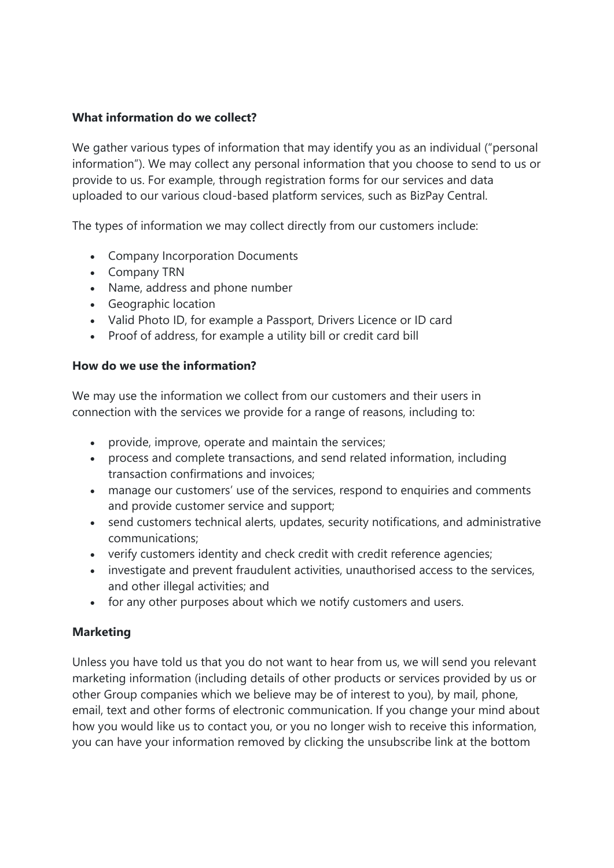#### **What information do we collect?**

We gather various types of information that may identify you as an individual ("personal information"). We may collect any personal information that you choose to send to us or provide to us. For example, through registration forms for our services and data uploaded to our various cloud-based platform services, such as BizPay Central.

The types of information we may collect directly from our customers include:

- Company Incorporation Documents
- Company TRN
- Name, address and phone number
- Geographic location
- Valid Photo ID, for example a Passport, Drivers Licence or ID card
- Proof of address, for example a utility bill or credit card bill

#### **How do we use the information?**

We may use the information we collect from our customers and their users in connection with the services we provide for a range of reasons, including to:

- provide, improve, operate and maintain the services;
- process and complete transactions, and send related information, including transaction confirmations and invoices;
- manage our customers' use of the services, respond to enquiries and comments and provide customer service and support;
- send customers technical alerts, updates, security notifications, and administrative communications;
- verify customers identity and check credit with credit reference agencies;
- investigate and prevent fraudulent activities, unauthorised access to the services, and other illegal activities; and
- for any other purposes about which we notify customers and users.

## **Marketing**

Unless you have told us that you do not want to hear from us, we will send you relevant marketing information (including details of other products or services provided by us or other Group companies which we believe may be of interest to you), by mail, phone, email, text and other forms of electronic communication. If you change your mind about how you would like us to contact you, or you no longer wish to receive this information, you can have your information removed by clicking the unsubscribe link at the bottom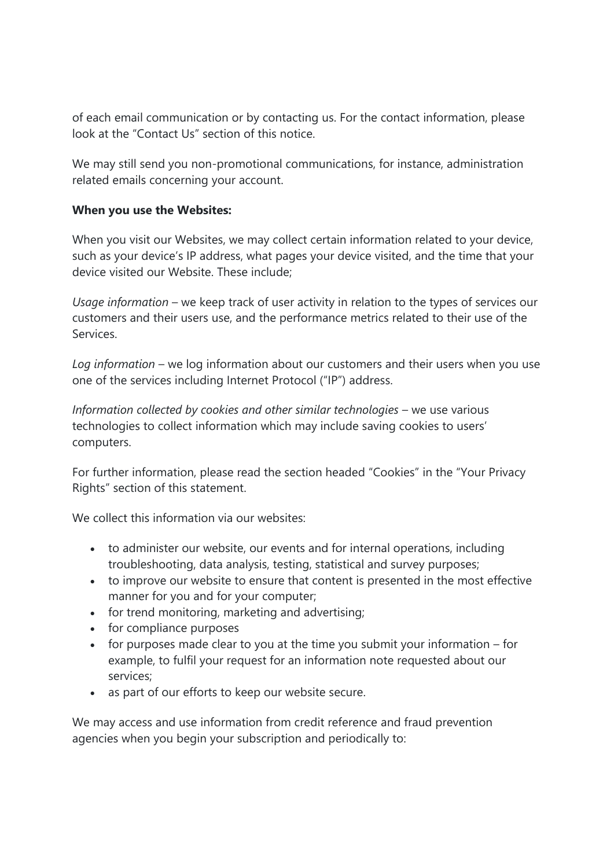of each email communication or by contacting us. For the contact information, please look at the "Contact Us" section of this notice.

We may still send you non-promotional communications, for instance, administration related emails concerning your account.

#### **When you use the Websites:**

When you visit our Websites, we may collect certain information related to your device, such as your device's IP address, what pages your device visited, and the time that your device visited our Website. These include;

*Usage information* – we keep track of user activity in relation to the types of services our customers and their users use, and the performance metrics related to their use of the Services.

*Log information* – we log information about our customers and their users when you use one of the services including Internet Protocol ("IP") address.

*Information collected by cookies and other similar technologies* – we use various technologies to collect information which may include saving cookies to users' computers.

For further information, please read the section headed "Cookies" in the "Your Privacy Rights" section of this statement.

We collect this information via our websites:

- to administer our website, our events and for internal operations, including troubleshooting, data analysis, testing, statistical and survey purposes;
- to improve our website to ensure that content is presented in the most effective manner for you and for your computer;
- for trend monitoring, marketing and advertising;
- for compliance purposes
- $\bullet$  for purposes made clear to you at the time you submit your information for example, to fulfil your request for an information note requested about our services;
- as part of our efforts to keep our website secure.

We may access and use information from credit reference and fraud prevention agencies when you begin your subscription and periodically to: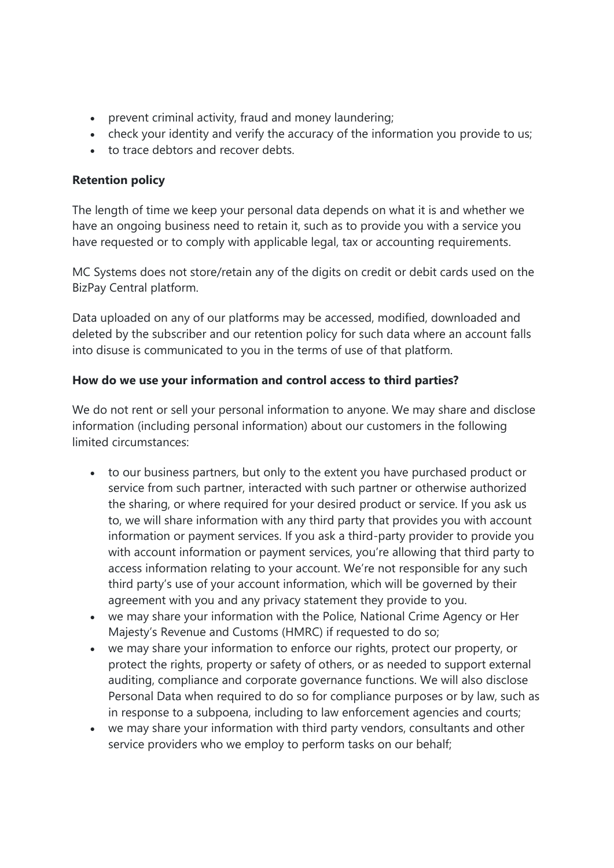- prevent criminal activity, fraud and money laundering;
- check your identity and verify the accuracy of the information you provide to us;
- to trace debtors and recover debts.

# **Retention policy**

The length of time we keep your personal data depends on what it is and whether we have an ongoing business need to retain it, such as to provide you with a service you have requested or to comply with applicable legal, tax or accounting requirements.

MC Systems does not store/retain any of the digits on credit or debit cards used on the BizPay Central platform.

Data uploaded on any of our platforms may be accessed, modified, downloaded and deleted by the subscriber and our retention policy for such data where an account falls into disuse is communicated to you in the terms of use of that platform.

# **How do we use your information and control access to third parties?**

We do not rent or sell your personal information to anyone. We may share and disclose information (including personal information) about our customers in the following limited circumstances:

- to our business partners, but only to the extent you have purchased product or service from such partner, interacted with such partner or otherwise authorized the sharing, or where required for your desired product or service. If you ask us to, we will share information with any third party that provides you with account information or payment services. If you ask a third-party provider to provide you with account information or payment services, you're allowing that third party to access information relating to your account. We're not responsible for any such third party's use of your account information, which will be governed by their agreement with you and any privacy statement they provide to you.
- we may share your information with the Police, National Crime Agency or Her Majesty's Revenue and Customs (HMRC) if requested to do so;
- we may share your information to enforce our rights, protect our property, or protect the rights, property or safety of others, or as needed to support external auditing, compliance and corporate governance functions. We will also disclose Personal Data when required to do so for compliance purposes or by law, such as in response to a subpoena, including to law enforcement agencies and courts;
- we may share your information with third party vendors, consultants and other service providers who we employ to perform tasks on our behalf;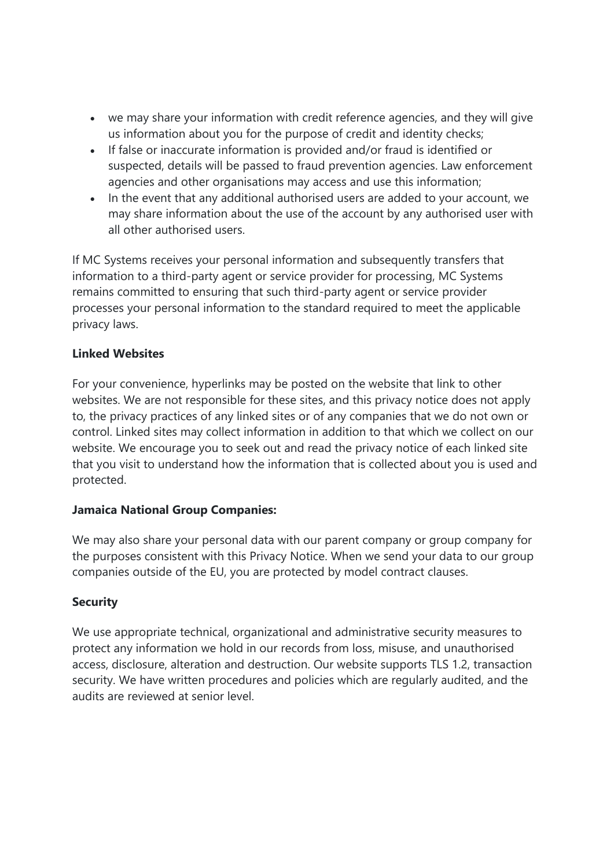- we may share your information with credit reference agencies, and they will give us information about you for the purpose of credit and identity checks;
- If false or inaccurate information is provided and/or fraud is identified or suspected, details will be passed to fraud prevention agencies. Law enforcement agencies and other organisations may access and use this information;
- In the event that any additional authorised users are added to your account, we may share information about the use of the account by any authorised user with all other authorised users.

If MC Systems receives your personal information and subsequently transfers that information to a third-party agent or service provider for processing, MC Systems remains committed to ensuring that such third-party agent or service provider processes your personal information to the standard required to meet the applicable privacy laws.

# **Linked Websites**

For your convenience, hyperlinks may be posted on the website that link to other websites. We are not responsible for these sites, and this privacy notice does not apply to, the privacy practices of any linked sites or of any companies that we do not own or control. Linked sites may collect information in addition to that which we collect on our website. We encourage you to seek out and read the privacy notice of each linked site that you visit to understand how the information that is collected about you is used and protected.

## **Jamaica National Group Companies:**

We may also share your personal data with our parent company or group company for the purposes consistent with this Privacy Notice. When we send your data to our group companies outside of the EU, you are protected by model contract clauses.

## **Security**

We use appropriate technical, organizational and administrative security measures to protect any information we hold in our records from loss, misuse, and unauthorised access, disclosure, alteration and destruction. Our website supports TLS 1.2, transaction security. We have written procedures and policies which are regularly audited, and the audits are reviewed at senior level.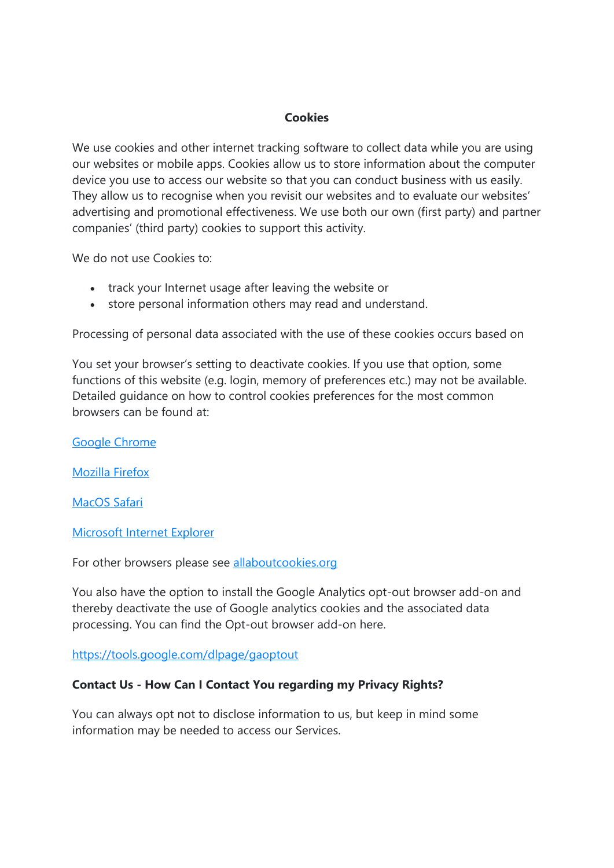#### **Cookies**

We use cookies and other internet tracking software to collect data while you are using our websites or mobile apps. Cookies allow us to store information about the computer device you use to access our website so that you can conduct business with us easily. They allow us to recognise when you revisit our websites and to evaluate our websites' advertising and promotional effectiveness. We use both our own (first party) and partner companies' (third party) cookies to support this activity.

We do not use Cookies to:

- track your Internet usage after leaving the website or
- store personal information others may read and understand.

Processing of personal data associated with the use of these cookies occurs based on

You set your browser's setting to deactivate cookies. If you use that option, some functions of this website (e.g. login, memory of preferences etc.) may not be available. Detailed guidance on how to control cookies preferences for the most common browsers can be found at:

Google Chrome

Mozilla Firefox

MacOS Safari

Microsoft Internet Explorer

For other browsers please see allaboutcookies.org

You also have the option to install the Google Analytics opt-out browser add-on and thereby deactivate the use of Google analytics cookies and the associated data processing. You can find the Opt-out browser add-on here.

https://tools.google.com/dlpage/gaoptout

#### **Contact Us - How Can I Contact You regarding my Privacy Rights?**

You can always opt not to disclose information to us, but keep in mind some information may be needed to access our Services.